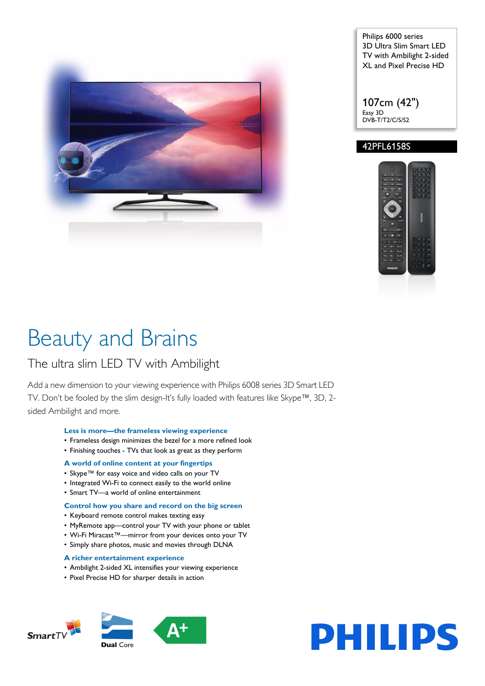

Philips 6000 series 3D Ultra Slim Smart LED TV with Ambilight 2-sided XL and Pixel Precise HD

107cm (42") Easy 3D DVB-T/T2/C/S/S2

### 42PFL6158S



# Beauty and Brains

## The ultra slim LED TV with Ambilight

Add a new dimension to your viewing experience with Philips 6008 series 3D Smart LED TV. Don't be fooled by the slim design-It's fully loaded with features like Skype™, 3D, 2 sided Ambilight and more.

#### **Less is more—the frameless viewing experience**

- Frameless design minimizes the bezel for a more refined look
- Finishing touches TVs that look as great as they perform

#### **A world of online content at your fingertips**

- Skype™ for easy voice and video calls on your TV
- Integrated Wi-Fi to connect easily to the world online
- Smart TV—a world of online entertainment

#### **Control how you share and record on the big screen**

- Keyboard remote control makes texting easy
- MyRemote app—control your TV with your phone or tablet
- Wi-Fi Miracast™—mirror from your devices onto your TV
- Simply share photos, music and movies through DLNA

#### **A richer entertainment experience**

- Ambilight 2-sided XL intensifies your viewing experience
- Pixel Precise HD for sharper details in action





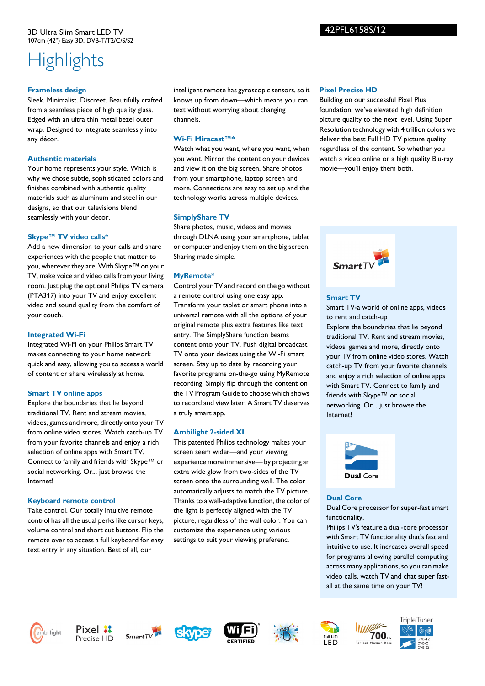## **Highlights**

#### **Frameless design**

Sleek. Minimalist. Discreet. Beautifully crafted from a seamless piece of high quality glass. Edged with an ultra thin metal bezel outer wrap. Designed to integrate seamlessly into any décor.

#### **Authentic materials**

Your home represents your style. Which is why we chose subtle, sophisticated colors and finishes combined with authentic quality materials such as aluminum and steel in our designs, so that our televisions blend seamlessly with your decor.

### **Skype™ TV video calls\***

Add a new dimension to your calls and share experiences with the people that matter to you, wherever they are. With Skype™ on your TV, make voice and video calls from your living room. Just plug the optional Philips TV camera (PTA317) into your TV and enjoy excellent video and sound quality from the comfort of your couch.

### **Integrated Wi-Fi**

Integrated Wi-Fi on your Philips Smart TV makes connecting to your home network quick and easy, allowing you to access a world of content or share wirelessly at home.

#### **Smart TV online apps**

Explore the boundaries that lie beyond traditional TV. Rent and stream movies, videos, games and more, directly onto your TV from online video stores. Watch catch-up TV from your favorite channels and enjoy a rich selection of online apps with Smart TV. Connect to family and friends with Skype™ or social networking. Or... just browse the Internet!

## **Keyboard remote control**

Take control. Our totally intuitive remote control has all the usual perks like cursor keys, volume control and short cut buttons. Flip the remote over to access a full keyboard for easy text entry in any situation. Best of all, our

intelligent remote has gyroscopic sensors, so it knows up from down—which means you can text without worrying about changing channels.

### **Wi-Fi Miracast™\***

Watch what you want, where you want, when you want. Mirror the content on your devices and view it on the big screen. Share photos from your smartphone, laptop screen and more. Connections are easy to set up and the technology works across multiple devices.

### **SimplyShare TV**

Share photos, music, videos and movies through DLNA using your smartphone, tablet or computer and enjoy them on the big screen. Sharing made simple.

## **MyRemote\***

Control your TV and record on the go without a remote control using one easy app. Transform your tablet or smart phone into a universal remote with all the options of your original remote plus extra features like text entry. The SimplyShare function beams content onto your TV. Push digital broadcast TV onto your devices using the Wi-Fi smart screen. Stay up to date by recording your favorite programs on-the-go using MyRemote recording. Simply flip through the content on the TV Program Guide to choose which shows to record and view later. A Smart TV deserves a truly smart app.

## **Ambilight 2-sided XL**

This patented Philips technology makes your screen seem wider—and your viewing experience more immersive— by projecting an extra wide glow from two-sides of the TV screen onto the surrounding wall. The color automatically adjusts to match the TV picture. Thanks to a wall-adaptive function, the color of the light is perfectly aligned with the TV picture, regardless of the wall color. You can customize the experience using various settings to suit your viewing preferenc.

#### **Pixel Precise HD**

Building on our successful Pixel Plus foundation, we've elevated high definition picture quality to the next level. Using Super Resolution technology with 4 trillion colors we deliver the best Full HD TV picture quality regardless of the content. So whether you watch a video online or a high quality Blu-ray movie—you'll enjoy them both.



## **Smart TV**

Smart TV-a world of online apps, videos to rent and catch-up Explore the boundaries that lie beyond traditional TV. Rent and stream movies, videos, games and more, directly onto your TV from online video stores. Watch catch-up TV from your favorite channels and enjoy a rich selection of online apps with Smart TV. Connect to family and friends with Skype™ or social networking. Or... just browse the Internet!



#### **Dual Core**

Dual Core processor for super-fast smart functionality.

Philips TV's feature a dual-core processor with Smart TV functionality that's fast and intuitive to use. It increases overall speed for programs allowing parallel computing across many applications, so you can make video calls, watch TV and chat super fastall at the same time on your TV!